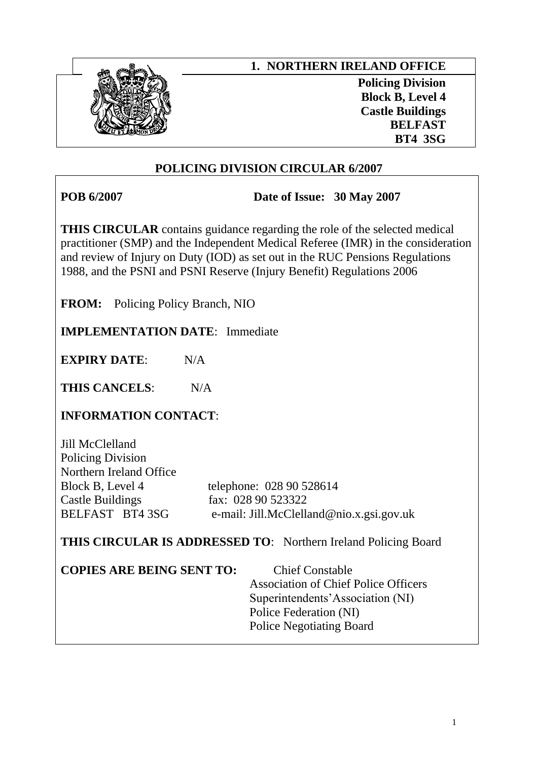

# **POLICING DIVISION CIRCULAR 6/2007**

**POB 6/2007 Date of Issue: 30 May 2007**

**THIS CIRCULAR** contains guidance regarding the role of the selected medical practitioner (SMP) and the Independent Medical Referee (IMR) in the consideration and review of Injury on Duty (IOD) as set out in the RUC Pensions Regulations 1988, and the PSNI and PSNI Reserve (Injury Benefit) Regulations 2006

**FROM:** Policing Policy Branch, NIO

**IMPLEMENTATION DATE**: Immediate

**EXPIRY DATE**: N/A

THIS CANCELS: N/A

**INFORMATION CONTACT**:

Jill McClelland Policing Division Northern Ireland Office Castle Buildings fax: 028 90 523322

Block B, Level 4 telephone: 028 90 528614 BELFAST BT4 3SG e-mail: Jill.McClelland@nio.x.gsi.gov.uk

**THIS CIRCULAR IS ADDRESSED TO**: Northern Ireland Policing Board

**COPIES ARE BEING SENT TO:** Chief Constable

 Association of Chief Police Officers Superintendents'Association (NI) Police Federation (NI) Police Negotiating Board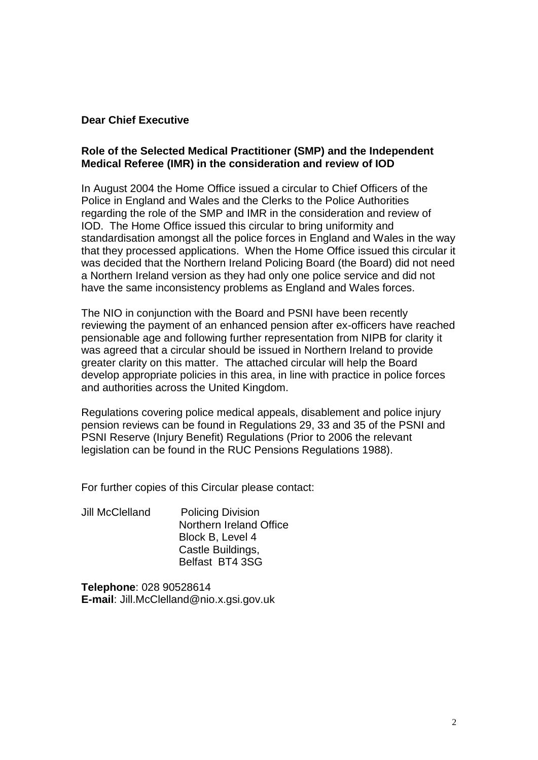### **Dear Chief Executive**

#### **Role of the Selected Medical Practitioner (SMP) and the Independent Medical Referee (IMR) in the consideration and review of IOD**

In August 2004 the Home Office issued a circular to Chief Officers of the Police in England and Wales and the Clerks to the Police Authorities regarding the role of the SMP and IMR in the consideration and review of IOD. The Home Office issued this circular to bring uniformity and standardisation amongst all the police forces in England and Wales in the way that they processed applications. When the Home Office issued this circular it was decided that the Northern Ireland Policing Board (the Board) did not need a Northern Ireland version as they had only one police service and did not have the same inconsistency problems as England and Wales forces.

The NIO in conjunction with the Board and PSNI have been recently reviewing the payment of an enhanced pension after ex-officers have reached pensionable age and following further representation from NIPB for clarity it was agreed that a circular should be issued in Northern Ireland to provide greater clarity on this matter. The attached circular will help the Board develop appropriate policies in this area, in line with practice in police forces and authorities across the United Kingdom.

Regulations covering police medical appeals, disablement and police injury pension reviews can be found in Regulations 29, 33 and 35 of the PSNI and PSNI Reserve (Injury Benefit) Regulations (Prior to 2006 the relevant legislation can be found in the RUC Pensions Regulations 1988).

For further copies of this Circular please contact:

Jill McClelland Policing Division Northern Ireland Office Block B, Level 4 Castle Buildings, Belfast BT4 3SG

**Telephone**: 028 90528614 **E-mail**: Jill.McClelland@nio.x.gsi.gov.uk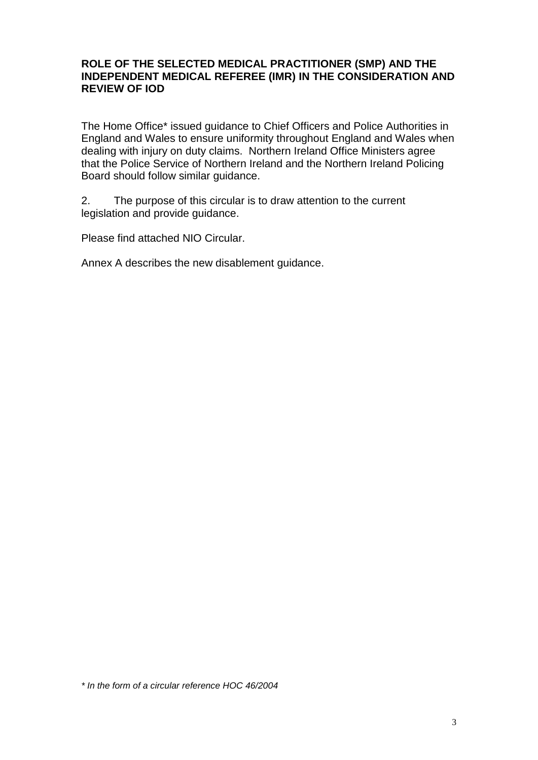# **ROLE OF THE SELECTED MEDICAL PRACTITIONER (SMP) AND THE INDEPENDENT MEDICAL REFEREE (IMR) IN THE CONSIDERATION AND REVIEW OF IOD**

The Home Office\* issued guidance to Chief Officers and Police Authorities in England and Wales to ensure uniformity throughout England and Wales when dealing with injury on duty claims. Northern Ireland Office Ministers agree that the Police Service of Northern Ireland and the Northern Ireland Policing Board should follow similar guidance.

2. The purpose of this circular is to draw attention to the current legislation and provide guidance.

Please find attached NIO Circular.

Annex A describes the new disablement guidance.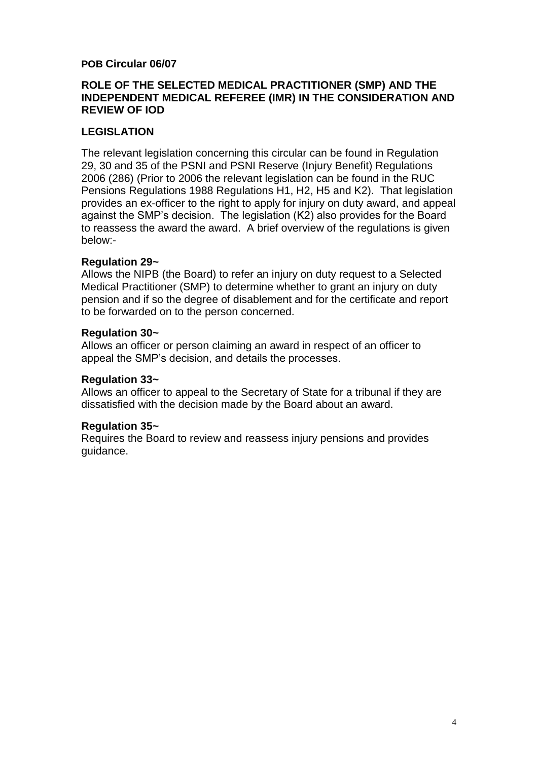# **POB Circular 06/07**

# **ROLE OF THE SELECTED MEDICAL PRACTITIONER (SMP) AND THE INDEPENDENT MEDICAL REFEREE (IMR) IN THE CONSIDERATION AND REVIEW OF IOD**

# **LEGISLATION**

The relevant legislation concerning this circular can be found in Regulation 29, 30 and 35 of the PSNI and PSNI Reserve (Injury Benefit) Regulations 2006 (286) (Prior to 2006 the relevant legislation can be found in the RUC Pensions Regulations 1988 Regulations H1, H2, H5 and K2). That legislation provides an ex-officer to the right to apply for injury on duty award, and appeal against the SMP's decision. The legislation (K2) also provides for the Board to reassess the award the award. A brief overview of the regulations is given below:-

# **Regulation 29~**

Allows the NIPB (the Board) to refer an injury on duty request to a Selected Medical Practitioner (SMP) to determine whether to grant an injury on duty pension and if so the degree of disablement and for the certificate and report to be forwarded on to the person concerned.

#### **Regulation 30~**

Allows an officer or person claiming an award in respect of an officer to appeal the SMP's decision, and details the processes.

#### **Regulation 33~**

Allows an officer to appeal to the Secretary of State for a tribunal if they are dissatisfied with the decision made by the Board about an award.

# **Regulation 35~**

Requires the Board to review and reassess injury pensions and provides guidance.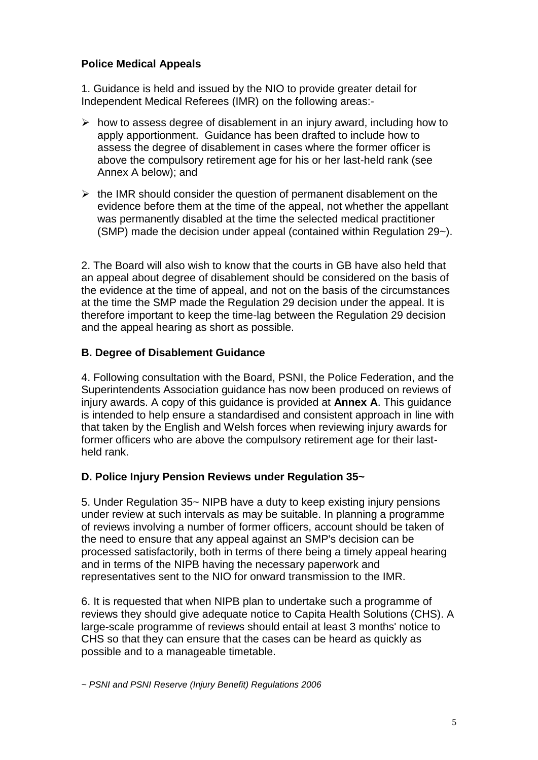# **Police Medical Appeals**

1. Guidance is held and issued by the NIO to provide greater detail for Independent Medical Referees (IMR) on the following areas:-

- $\triangleright$  how to assess degree of disablement in an injury award, including how to apply apportionment. Guidance has been drafted to include how to assess the degree of disablement in cases where the former officer is above the compulsory retirement age for his or her last-held rank (see Annex A below); and
- $\triangleright$  the IMR should consider the question of permanent disablement on the evidence before them at the time of the appeal, not whether the appellant was permanently disabled at the time the selected medical practitioner (SMP) made the decision under appeal (contained within Regulation 29~).

2. The Board will also wish to know that the courts in GB have also held that an appeal about degree of disablement should be considered on the basis of the evidence at the time of appeal, and not on the basis of the circumstances at the time the SMP made the Regulation 29 decision under the appeal. It is therefore important to keep the time-lag between the Regulation 29 decision and the appeal hearing as short as possible.

# **B. Degree of Disablement Guidance**

4. Following consultation with the Board, PSNI, the Police Federation, and the Superintendents Association guidance has now been produced on reviews of injury awards. A copy of this guidance is provided at **Annex A**. This guidance is intended to help ensure a standardised and consistent approach in line with that taken by the English and Welsh forces when reviewing injury awards for former officers who are above the compulsory retirement age for their lastheld rank.

# **D. Police Injury Pension Reviews under Regulation 35~**

5. Under Regulation 35~ NIPB have a duty to keep existing injury pensions under review at such intervals as may be suitable. In planning a programme of reviews involving a number of former officers, account should be taken of the need to ensure that any appeal against an SMP's decision can be processed satisfactorily, both in terms of there being a timely appeal hearing and in terms of the NIPB having the necessary paperwork and representatives sent to the NIO for onward transmission to the IMR.

6. It is requested that when NIPB plan to undertake such a programme of reviews they should give adequate notice to Capita Health Solutions (CHS). A large-scale programme of reviews should entail at least 3 months' notice to CHS so that they can ensure that the cases can be heard as quickly as possible and to a manageable timetable.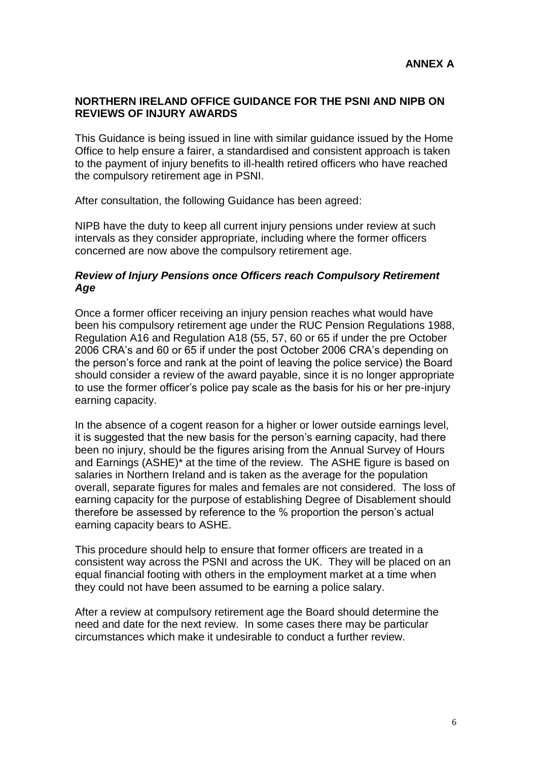# **NORTHERN IRELAND OFFICE GUIDANCE FOR THE PSNI AND NIPB ON REVIEWS OF INJURY AWARDS**

This Guidance is being issued in line with similar guidance issued by the Home Office to help ensure a fairer, a standardised and consistent approach is taken to the payment of injury benefits to ill-health retired officers who have reached the compulsory retirement age in PSNI.

After consultation, the following Guidance has been agreed:

NIPB have the duty to keep all current injury pensions under review at such intervals as they consider appropriate, including where the former officers concerned are now above the compulsory retirement age.

### *Review of Injury Pensions once Officers reach Compulsory Retirement Age*

Once a former officer receiving an injury pension reaches what would have been his compulsory retirement age under the RUC Pension Regulations 1988, Regulation A16 and Regulation A18 (55, 57, 60 or 65 if under the pre October 2006 CRA's and 60 or 65 if under the post October 2006 CRA's depending on the person's force and rank at the point of leaving the police service) the Board should consider a review of the award payable, since it is no longer appropriate to use the former officer's police pay scale as the basis for his or her pre-injury earning capacity.

In the absence of a cogent reason for a higher or lower outside earnings level, it is suggested that the new basis for the person's earning capacity, had there been no injury, should be the figures arising from the Annual Survey of Hours and Earnings (ASHE)\* at the time of the review. The ASHE figure is based on salaries in Northern Ireland and is taken as the average for the population overall, separate figures for males and females are not considered. The loss of earning capacity for the purpose of establishing Degree of Disablement should therefore be assessed by reference to the % proportion the person's actual earning capacity bears to ASHE.

This procedure should help to ensure that former officers are treated in a consistent way across the PSNI and across the UK. They will be placed on an equal financial footing with others in the employment market at a time when they could not have been assumed to be earning a police salary.

After a review at compulsory retirement age the Board should determine the need and date for the next review. In some cases there may be particular circumstances which make it undesirable to conduct a further review.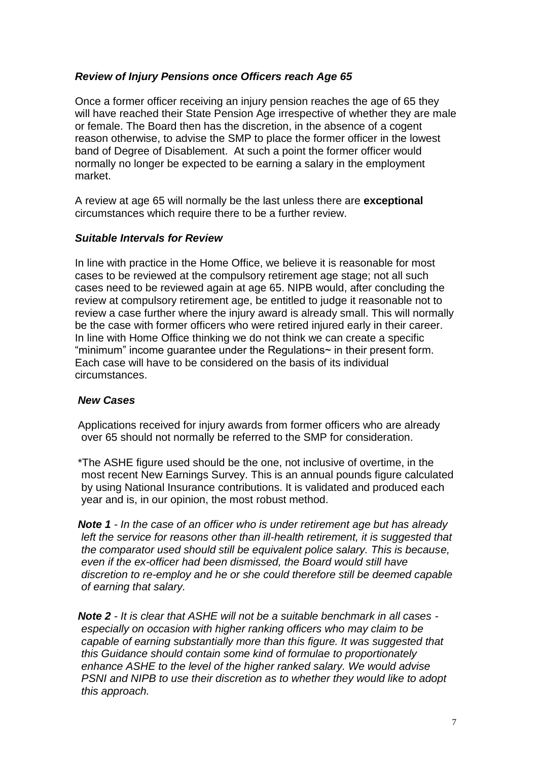# *Review of Injury Pensions once Officers reach Age 65*

Once a former officer receiving an injury pension reaches the age of 65 they will have reached their State Pension Age irrespective of whether they are male or female. The Board then has the discretion, in the absence of a codent reason otherwise, to advise the SMP to place the former officer in the lowest band of Degree of Disablement. At such a point the former officer would normally no longer be expected to be earning a salary in the employment market.

A review at age 65 will normally be the last unless there are **exceptional** circumstances which require there to be a further review.

# *Suitable Intervals for Review*

In line with practice in the Home Office, we believe it is reasonable for most cases to be reviewed at the compulsory retirement age stage; not all such cases need to be reviewed again at age 65. NIPB would, after concluding the review at compulsory retirement age, be entitled to judge it reasonable not to review a case further where the injury award is already small. This will normally be the case with former officers who were retired injured early in their career. In line with Home Office thinking we do not think we can create a specific "minimum" income guarantee under the Regulations~ in their present form. Each case will have to be considered on the basis of its individual circumstances.

# *New Cases*

Applications received for injury awards from former officers who are already over 65 should not normally be referred to the SMP for consideration.

\*The ASHE figure used should be the one, not inclusive of overtime, in the most recent New Earnings Survey. This is an annual pounds figure calculated by using National Insurance contributions. It is validated and produced each year and is, in our opinion, the most robust method.

*Note 1 - In the case of an officer who is under retirement age but has already left the service for reasons other than ill-health retirement, it is suggested that the comparator used should still be equivalent police salary. This is because, even if the ex-officer had been dismissed, the Board would still have discretion to re-employ and he or she could therefore still be deemed capable of earning that salary.*

*Note 2 - It is clear that ASHE will not be a suitable benchmark in all cases especially on occasion with higher ranking officers who may claim to be capable of earning substantially more than this figure. It was suggested that this Guidance should contain some kind of formulae to proportionately enhance ASHE to the level of the higher ranked salary. We would advise PSNI and NIPB to use their discretion as to whether they would like to adopt this approach.*